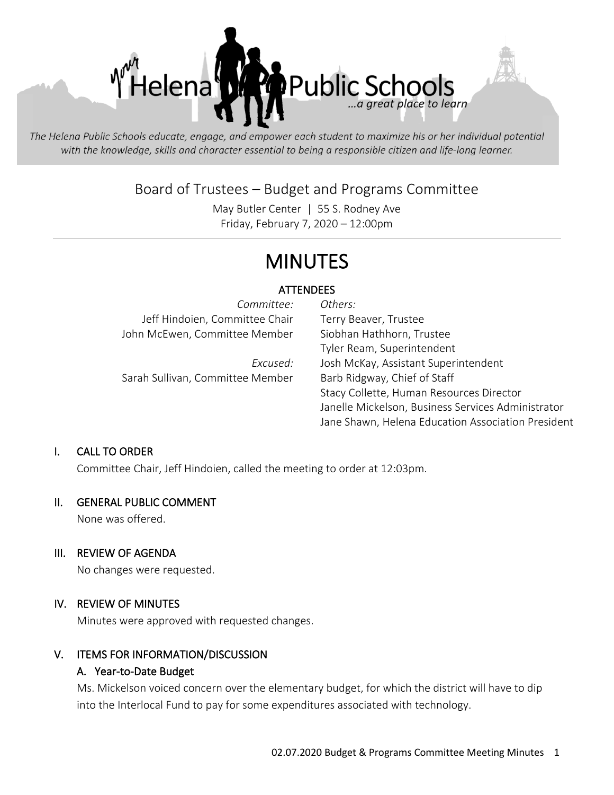

The Helena Public Schools educate, engage, and empower each student to maximize his or her individual potential with the knowledge, skills and character essential to being a responsible citizen and life-long learner.

# Board of Trustees – Budget and Programs Committee

May Butler Center | 55 S. Rodney Ave Friday, February 7, 2020 – 12:00pm

# MINUTES

# ATTENDEES

| Committee:                       | Others:                                            |
|----------------------------------|----------------------------------------------------|
| Jeff Hindoien, Committee Chair   | Terry Beaver, Trustee                              |
| John McEwen, Committee Member    | Siobhan Hathhorn, Trustee                          |
|                                  | Tyler Ream, Superintendent                         |
| Excused:                         | Josh McKay, Assistant Superintendent               |
| Sarah Sullivan, Committee Member | Barb Ridgway, Chief of Staff                       |
|                                  | Stacy Collette, Human Resources Director           |
|                                  | Janelle Mickelson, Business Services Administrator |
|                                  | Jane Shawn, Helena Education Association President |

#### I. CALL TO ORDER

Committee Chair, Jeff Hindoien, called the meeting to order at 12:03pm.

#### II. GENERAL PUBLIC COMMENT

None was offered.

#### III. REVIEW OF AGENDA

No changes were requested.

#### IV. REVIEW OF MINUTES

Minutes were approved with requested changes.

#### V. ITEMS FOR INFORMATION/DISCUSSION

#### A. Year-to-Date Budget

Ms. Mickelson voiced concern over the elementary budget, for which the district will have to dip into the Interlocal Fund to pay for some expenditures associated with technology.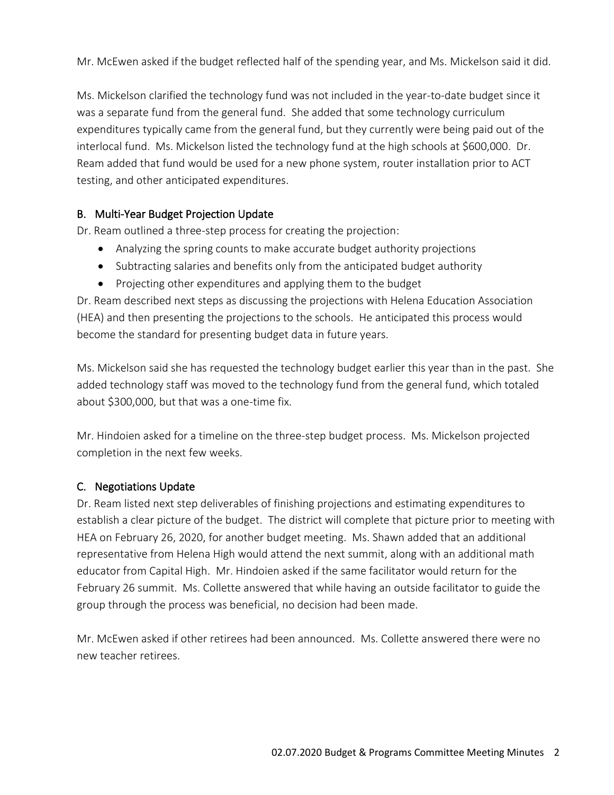Mr. McEwen asked if the budget reflected half of the spending year, and Ms. Mickelson said it did.

Ms. Mickelson clarified the technology fund was not included in the year-to-date budget since it was a separate fund from the general fund. She added that some technology curriculum expenditures typically came from the general fund, but they currently were being paid out of the interlocal fund. Ms. Mickelson listed the technology fund at the high schools at \$600,000. Dr. Ream added that fund would be used for a new phone system, router installation prior to ACT testing, and other anticipated expenditures.

# B. Multi-Year Budget Projection Update

Dr. Ream outlined a three-step process for creating the projection:

- Analyzing the spring counts to make accurate budget authority projections
- Subtracting salaries and benefits only from the anticipated budget authority
- Projecting other expenditures and applying them to the budget

Dr. Ream described next steps as discussing the projections with Helena Education Association (HEA) and then presenting the projections to the schools. He anticipated this process would become the standard for presenting budget data in future years.

Ms. Mickelson said she has requested the technology budget earlier this year than in the past. She added technology staff was moved to the technology fund from the general fund, which totaled about \$300,000, but that was a one-time fix.

Mr. Hindoien asked for a timeline on the three-step budget process. Ms. Mickelson projected completion in the next few weeks.

# C. Negotiations Update

Dr. Ream listed next step deliverables of finishing projections and estimating expenditures to establish a clear picture of the budget. The district will complete that picture prior to meeting with HEA on February 26, 2020, for another budget meeting. Ms. Shawn added that an additional representative from Helena High would attend the next summit, along with an additional math educator from Capital High. Mr. Hindoien asked if the same facilitator would return for the February 26 summit. Ms. Collette answered that while having an outside facilitator to guide the group through the process was beneficial, no decision had been made.

Mr. McEwen asked if other retirees had been announced. Ms. Collette answered there were no new teacher retirees.